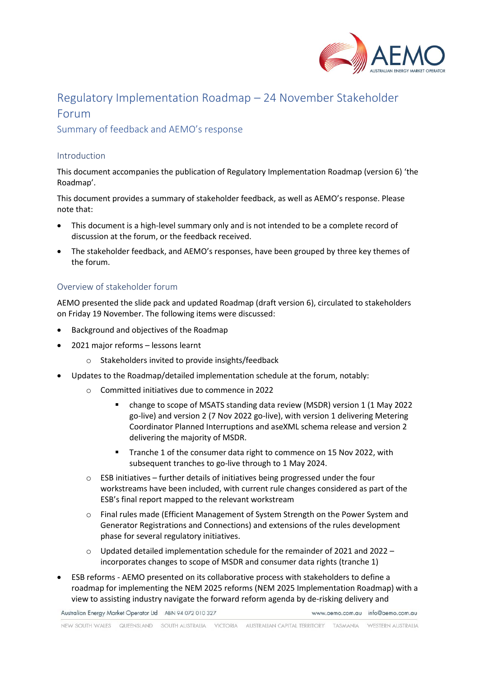

# Regulatory Implementation Roadmap – 24 November Stakeholder Forum

Summary of feedback and AEMO's response

#### Introduction

This document accompanies the publication of Regulatory Implementation Roadmap (version 6) 'the Roadmap'.

This document provides a summary of stakeholder feedback, as well as AEMO's response. Please note that:

- This document is a high-level summary only and is not intended to be a complete record of discussion at the forum, or the feedback received.
- The stakeholder feedback, and AEMO's responses, have been grouped by three key themes of the forum.

## Overview of stakeholder forum

AEMO presented the slide pack and updated Roadmap (draft version 6), circulated to stakeholders on Friday 19 November. The following items were discussed:

- Background and objectives of the Roadmap
- 2021 major reforms lessons learnt
	- o Stakeholders invited to provide insights/feedback
- Updates to the Roadmap/detailed implementation schedule at the forum, notably:
	- o Committed initiatives due to commence in 2022
		- change to scope of MSATS standing data review (MSDR) version 1 (1 May 2022 go-live) and version 2 (7 Nov 2022 go-live), with version 1 delivering Metering Coordinator Planned Interruptions and aseXML schema release and version 2 delivering the majority of MSDR.
		- Tranche 1 of the consumer data right to commence on 15 Nov 2022, with subsequent tranches to go-live through to 1 May 2024.
	- $\circ$  ESB initiatives further details of initiatives being progressed under the four workstreams have been included, with current rule changes considered as part of the ESB's final report mapped to the relevant workstream
	- o Final rules made (Efficient Management of System Strength on the Power System and Generator Registrations and Connections) and extensions of the rules development phase for several regulatory initiatives.
	- $\circ$  Updated detailed implementation schedule for the remainder of 2021 and 2022 incorporates changes to scope of MSDR and consumer data rights (tranche 1)
- ESB reforms AEMO presented on its collaborative process with stakeholders to define a roadmap for implementing the NEM 2025 reforms (NEM 2025 Implementation Roadmap) with a view to assisting industry navigate the forward reform agenda by de-risking delivery and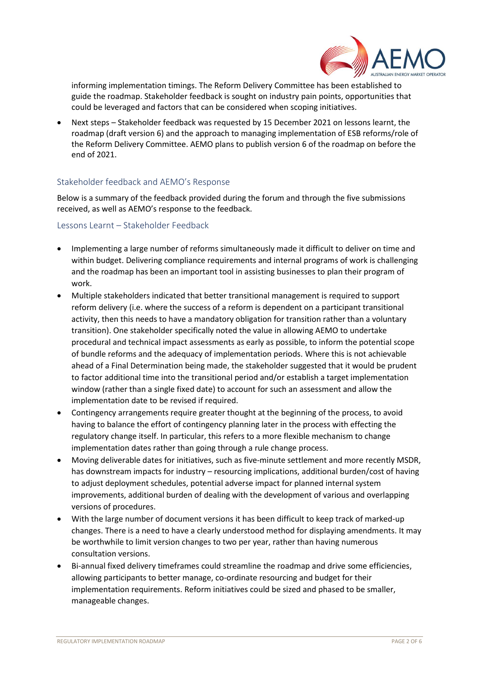

informing implementation timings. The Reform Delivery Committee has been established to guide the roadmap. Stakeholder feedback is sought on industry pain points, opportunities that could be leveraged and factors that can be considered when scoping initiatives.

• Next steps – Stakeholder feedback was requested by 15 December 2021 on lessons learnt, the roadmap (draft version 6) and the approach to managing implementation of ESB reforms/role of the Reform Delivery Committee. AEMO plans to publish version 6 of the roadmap on before the end of 2021.

## Stakeholder feedback and AEMO's Response

Below is a summary of the feedback provided during the forum and through the five submissions received, as well as AEMO's response to the feedback.

#### Lessons Learnt – Stakeholder Feedback

- Implementing a large number of reforms simultaneously made it difficult to deliver on time and within budget. Delivering compliance requirements and internal programs of work is challenging and the roadmap has been an important tool in assisting businesses to plan their program of work.
- Multiple stakeholders indicated that better transitional management is required to support reform delivery (i.e. where the success of a reform is dependent on a participant transitional activity, then this needs to have a mandatory obligation for transition rather than a voluntary transition). One stakeholder specifically noted the value in allowing AEMO to undertake procedural and technical impact assessments as early as possible, to inform the potential scope of bundle reforms and the adequacy of implementation periods. Where this is not achievable ahead of a Final Determination being made, the stakeholder suggested that it would be prudent to factor additional time into the transitional period and/or establish a target implementation window (rather than a single fixed date) to account for such an assessment and allow the implementation date to be revised if required.
- Contingency arrangements require greater thought at the beginning of the process, to avoid having to balance the effort of contingency planning later in the process with effecting the regulatory change itself. In particular, this refers to a more flexible mechanism to change implementation dates rather than going through a rule change process.
- Moving deliverable dates for initiatives, such as five-minute settlement and more recently MSDR, has downstream impacts for industry – resourcing implications, additional burden/cost of having to adjust deployment schedules, potential adverse impact for planned internal system improvements, additional burden of dealing with the development of various and overlapping versions of procedures.
- With the large number of document versions it has been difficult to keep track of marked-up changes. There is a need to have a clearly understood method for displaying amendments. It may be worthwhile to limit version changes to two per year, rather than having numerous consultation versions.
- Bi-annual fixed delivery timeframes could streamline the roadmap and drive some efficiencies, allowing participants to better manage, co-ordinate resourcing and budget for their implementation requirements. Reform initiatives could be sized and phased to be smaller, manageable changes.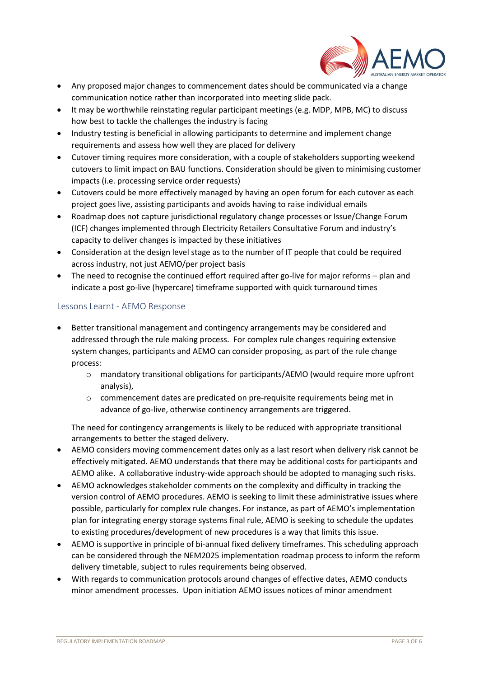

- Any proposed major changes to commencement dates should be communicated via a change communication notice rather than incorporated into meeting slide pack.
- It may be worthwhile reinstating regular participant meetings (e.g. MDP, MPB, MC) to discuss how best to tackle the challenges the industry is facing
- Industry testing is beneficial in allowing participants to determine and implement change requirements and assess how well they are placed for delivery
- Cutover timing requires more consideration, with a couple of stakeholders supporting weekend cutovers to limit impact on BAU functions. Consideration should be given to minimising customer impacts (i.e. processing service order requests)
- Cutovers could be more effectively managed by having an open forum for each cutover as each project goes live, assisting participants and avoids having to raise individual emails
- Roadmap does not capture jurisdictional regulatory change processes or Issue/Change Forum (ICF) changes implemented through Electricity Retailers Consultative Forum and industry's capacity to deliver changes is impacted by these initiatives
- Consideration at the design level stage as to the number of IT people that could be required across industry, not just AEMO/per project basis
- The need to recognise the continued effort required after go-live for major reforms plan and indicate a post go-live (hypercare) timeframe supported with quick turnaround times

## Lessons Learnt - AEMO Response

- Better transitional management and contingency arrangements may be considered and addressed through the rule making process. For complex rule changes requiring extensive system changes, participants and AEMO can consider proposing, as part of the rule change process:
	- o mandatory transitional obligations for participants/AEMO (would require more upfront analysis),
	- o commencement dates are predicated on pre-requisite requirements being met in advance of go-live, otherwise continency arrangements are triggered.

The need for contingency arrangements is likely to be reduced with appropriate transitional arrangements to better the staged delivery.

- AEMO considers moving commencement dates only as a last resort when delivery risk cannot be effectively mitigated. AEMO understands that there may be additional costs for participants and AEMO alike. A collaborative industry-wide approach should be adopted to managing such risks.
- AEMO acknowledges stakeholder comments on the complexity and difficulty in tracking the version control of AEMO procedures. AEMO is seeking to limit these administrative issues where possible, particularly for complex rule changes. For instance, as part of AEMO's implementation plan for integrating energy storage systems final rule, AEMO is seeking to schedule the updates to existing procedures/development of new procedures is a way that limits this issue.
- AEMO is supportive in principle of bi-annual fixed delivery timeframes. This scheduling approach can be considered through the NEM2025 implementation roadmap process to inform the reform delivery timetable, subject to rules requirements being observed.
- With regards to communication protocols around changes of effective dates, AEMO conducts minor amendment processes. Upon initiation AEMO issues notices of minor amendment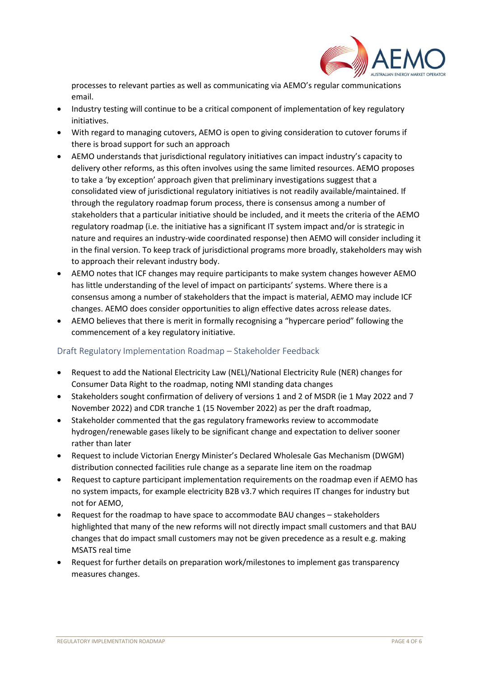

processes to relevant parties as well as communicating via AEMO's regular communications email.

- Industry testing will continue to be a critical component of implementation of key regulatory initiatives.
- With regard to managing cutovers, AEMO is open to giving consideration to cutover forums if there is broad support for such an approach
- AEMO understands that jurisdictional regulatory initiatives can impact industry's capacity to delivery other reforms, as this often involves using the same limited resources. AEMO proposes to take a 'by exception' approach given that preliminary investigations suggest that a consolidated view of jurisdictional regulatory initiatives is not readily available/maintained. If through the regulatory roadmap forum process, there is consensus among a number of stakeholders that a particular initiative should be included, and it meets the criteria of the AEMO regulatory roadmap (i.e. the initiative has a significant IT system impact and/or is strategic in nature and requires an industry-wide coordinated response) then AEMO will consider including it in the final version. To keep track of jurisdictional programs more broadly, stakeholders may wish to approach their relevant industry body.
- AEMO notes that ICF changes may require participants to make system changes however AEMO has little understanding of the level of impact on participants' systems. Where there is a consensus among a number of stakeholders that the impact is material, AEMO may include ICF changes. AEMO does consider opportunities to align effective dates across release dates.
- AEMO believes that there is merit in formally recognising a "hypercare period" following the commencement of a key regulatory initiative.

## Draft Regulatory Implementation Roadmap – Stakeholder Feedback

- Request to add the National Electricity Law (NEL)/National Electricity Rule (NER) changes for Consumer Data Right to the roadmap, noting NMI standing data changes
- Stakeholders sought confirmation of delivery of versions 1 and 2 of MSDR (ie 1 May 2022 and 7 November 2022) and CDR tranche 1 (15 November 2022) as per the draft roadmap,
- Stakeholder commented that the gas regulatory frameworks review to accommodate hydrogen/renewable gases likely to be significant change and expectation to deliver sooner rather than later
- Request to include Victorian Energy Minister's Declared Wholesale Gas Mechanism (DWGM) distribution connected facilities rule change as a separate line item on the roadmap
- Request to capture participant implementation requirements on the roadmap even if AEMO has no system impacts, for example electricity B2B v3.7 which requires IT changes for industry but not for AEMO,
- Request for the roadmap to have space to accommodate BAU changes stakeholders highlighted that many of the new reforms will not directly impact small customers and that BAU changes that do impact small customers may not be given precedence as a result e.g. making MSATS real time
- Request for further details on preparation work/milestones to implement gas transparency measures changes.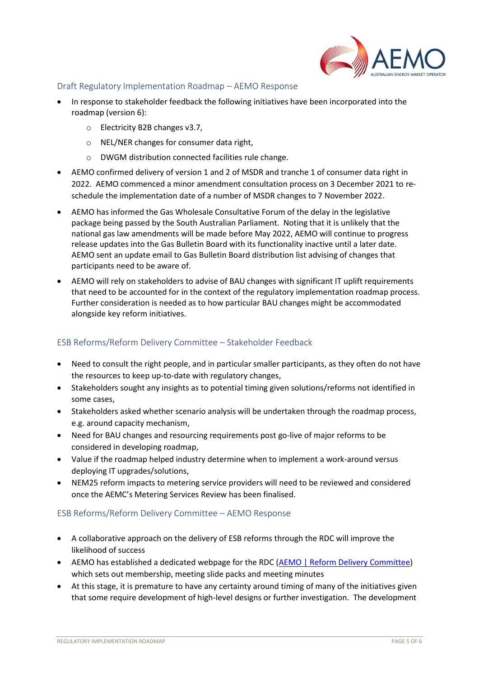

#### Draft Regulatory Implementation Roadmap – AEMO Response

- In response to stakeholder feedback the following initiatives have been incorporated into the roadmap (version 6):
	- o Electricity B2B changes v3.7,
	- o NEL/NER changes for consumer data right,
	- o DWGM distribution connected facilities rule change.
- AEMO confirmed delivery of version 1 and 2 of MSDR and tranche 1 of consumer data right in 2022. AEMO commenced a minor amendment consultation process on 3 December 2021 to reschedule the implementation date of a number of MSDR changes to 7 November 2022.
- AEMO has informed the Gas Wholesale Consultative Forum of the delay in the legislative package being passed by the South Australian Parliament. Noting that it is unlikely that the national gas law amendments will be made before May 2022, AEMO will continue to progress release updates into the Gas Bulletin Board with its functionality inactive until a later date. AEMO sent an update email to Gas Bulletin Board distribution list advising of changes that participants need to be aware of.
- AEMO will rely on stakeholders to advise of BAU changes with significant IT uplift requirements that need to be accounted for in the context of the regulatory implementation roadmap process. Further consideration is needed as to how particular BAU changes might be accommodated alongside key reform initiatives.

## ESB Reforms/Reform Delivery Committee – Stakeholder Feedback

- Need to consult the right people, and in particular smaller participants, as they often do not have the resources to keep up-to-date with regulatory changes,
- Stakeholders sought any insights as to potential timing given solutions/reforms not identified in some cases,
- Stakeholders asked whether scenario analysis will be undertaken through the roadmap process, e.g. around capacity mechanism,
- Need for BAU changes and resourcing requirements post go-live of major reforms to be considered in developing roadmap,
- Value if the roadmap helped industry determine when to implement a work-around versus deploying IT upgrades/solutions,
- NEM25 reform impacts to metering service providers will need to be reviewed and considered once the AEMC's Metering Services Review has been finalised.

## ESB Reforms/Reform Delivery Committee – AEMO Response

- A collaborative approach on the delivery of ESB reforms through the RDC will improve the likelihood of success
- AEMO has established a dedicated webpage for the RDC [\(AEMO | Reform Delivery Committee\)](https://aemo.com.au/en/consultations/industry-forums-and-working-groups/list-of-industry-forums-and-working-groups/reform-delivery-committee) which sets out membership, meeting slide packs and meeting minutes
- At this stage, it is premature to have any certainty around timing of many of the initiatives given that some require development of high-level designs or further investigation. The development